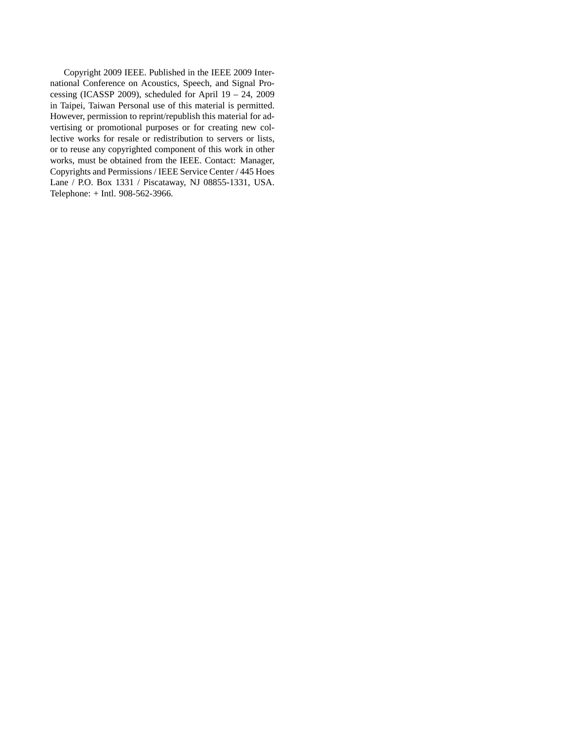Copyright 2009 IEEE. Published in the IEEE 2009 International Conference on Acoustics, Speech, and Signal Processing (ICASSP 2009), scheduled for April 19 – 24, 2009 in Taipei, Taiwan Personal use of this material is permitted. However, permission to reprint/republish this material for advertising or promotional purposes or for creating new collective works for resale or redistribution to servers or lists, or to reuse any copyrighted component of this work in other works, must be obtained from the IEEE. Contact: Manager, Copyrights and Permissions / IEEE Service Center / 445 Hoes Lane / P.O. Box 1331 / Piscataway, NJ 08855-1331, USA. Telephone: + Intl. 908-562-3966.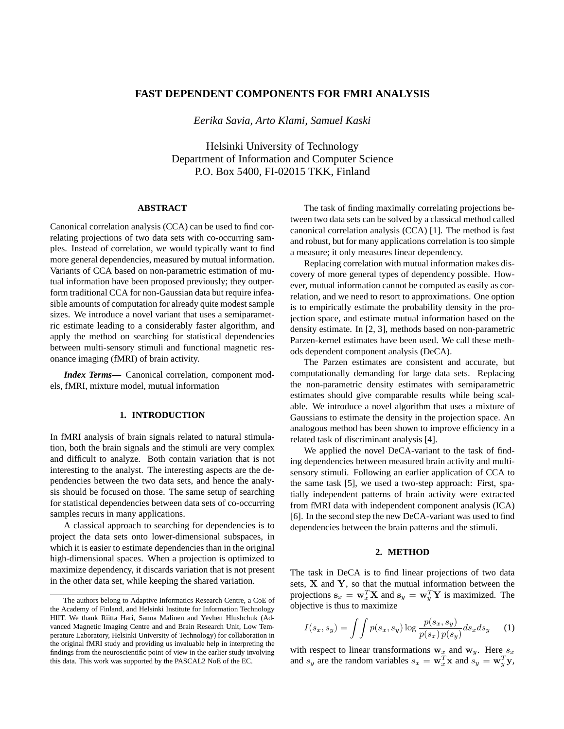# **FAST DEPENDENT COMPONENTS FOR FMRI ANALYSIS**

*Eerika Savia, Arto Klami, Samuel Kaski*

Helsinki University of Technology Department of Information and Computer Science P.O. Box 5400, FI-02015 TKK, Finland

## **ABSTRACT**

Canonical correlation analysis (CCA) can be used to find correlating projections of two data sets with co-occurring samples. Instead of correlation, we would typically want to find more general dependencies, measured by mutual information. Variants of CCA based on non-parametric estimation of mutual information have been proposed previously; they outperform traditional CCA for non-Gaussian data but require infeasible amounts of computation for already quite modest sample sizes. We introduce a novel variant that uses a semiparametric estimate leading to a considerably faster algorithm, and apply the method on searching for statistical dependencies between multi-sensory stimuli and functional magnetic resonance imaging (fMRI) of brain activity.

*Index Terms***—** Canonical correlation, component models, fMRI, mixture model, mutual information

#### **1. INTRODUCTION**

In fMRI analysis of brain signals related to natural stimulation, both the brain signals and the stimuli are very complex and difficult to analyze. Both contain variation that is not interesting to the analyst. The interesting aspects are the dependencies between the two data sets, and hence the analysis should be focused on those. The same setup of searching for statistical dependencies between data sets of co-occurring samples recurs in many applications.

A classical approach to searching for dependencies is to project the data sets onto lower-dimensional subspaces, in which it is easier to estimate dependencies than in the original high-dimensional spaces. When a projection is optimized to maximize dependency, it discards variation that is not present in the other data set, while keeping the shared variation.

The task of finding maximally correlating projections between two data sets can be solved by a classical method called canonical correlation analysis (CCA) [1]. The method is fast and robust, but for many applications correlation is too simple a measure; it only measures linear dependency.

Replacing correlation with mutual information makes discovery of more general types of dependency possible. However, mutual information cannot be computed as easily as correlation, and we need to resort to approximations. One option is to empirically estimate the probability density in the projection space, and estimate mutual information based on the density estimate. In [2, 3], methods based on non-parametric Parzen-kernel estimates have been used. We call these methods dependent component analysis (DeCA).

The Parzen estimates are consistent and accurate, but computationally demanding for large data sets. Replacing the non-parametric density estimates with semiparametric estimates should give comparable results while being scalable. We introduce a novel algorithm that uses a mixture of Gaussians to estimate the density in the projection space. An analogous method has been shown to improve efficiency in a related task of discriminant analysis [4].

We applied the novel DeCA-variant to the task of finding dependencies between measured brain activity and multisensory stimuli. Following an earlier application of CCA to the same task [5], we used a two-step approach: First, spatially independent patterns of brain activity were extracted from fMRI data with independent component analysis (ICA) [6]. In the second step the new DeCA-variant was used to find dependencies between the brain patterns and the stimuli.

## **2. METHOD**

The task in DeCA is to find linear projections of two data sets, X and Y, so that the mutual information between the projections  $\mathbf{s}_x = \mathbf{w}_x^T \mathbf{X}$  and  $\mathbf{s}_y = \mathbf{w}_y^T \mathbf{Y}$  is maximized. The objective is thus to maximize

$$
I(s_x, s_y) = \int\int p(s_x, s_y) \log \frac{p(s_x, s_y)}{p(s_x)p(s_y)} ds_x ds_y \qquad (1)
$$

with respect to linear transformations  $w_x$  and  $w_y$ . Here  $s_x$ and  $s_y$  are the random variables  $s_x = \mathbf{w}_x^T \mathbf{x}$  and  $s_y = \mathbf{w}_y^T \mathbf{y}$ ,

The authors belong to Adaptive Informatics Research Centre, a CoE of the Academy of Finland, and Helsinki Institute for Information Technology HIIT. We thank Riitta Hari, Sanna Malinen and Yevhen Hlushchuk (Advanced Magnetic Imaging Centre and and Brain Research Unit, Low Temperature Laboratory, Helsinki University of Technology) for collaboration in the original fMRI study and providing us invaluable help in interpreting the findings from the neuroscientific point of view in the earlier study involving this data. This work was supported by the PASCAL2 NoE of the EC.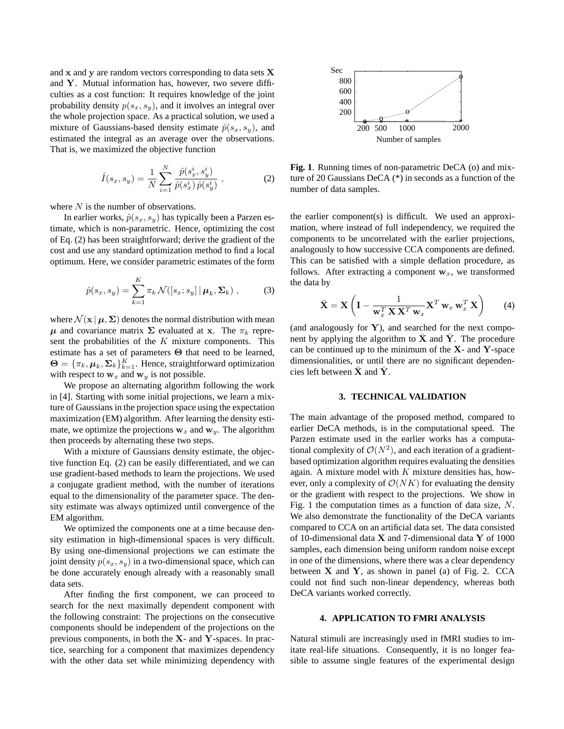and x and y are random vectors corresponding to data sets X and Y. Mutual information has, however, two severe difficulties as a cost function: It requires knowledge of the joint probability density  $p(s_x, s_y)$ , and it involves an integral over the whole projection space. As a practical solution, we used a mixture of Gaussians-based density estimate  $\hat{p}(s_x, s_y)$ , and estimated the integral as an average over the observations. That is, we maximized the objective function

$$
\hat{I}(s_x, s_y) = \frac{1}{N} \sum_{i=1}^{N} \frac{\hat{p}(s_x^i, s_y^i)}{\hat{p}(s_x^i)\,\hat{p}(s_y^i)},
$$
\n(2)

where  $N$  is the number of observations.

In earlier works,  $\hat{p}(s_x, s_y)$  has typically been a Parzen estimate, which is non-parametric. Hence, optimizing the cost of Eq. (2) has been straightforward; derive the gradient of the cost and use any standard optimization method to find a local optimum. Here, we consider parametric estimates of the form

$$
\hat{p}(s_x, s_y) = \sum_{k=1}^{K} \pi_k \mathcal{N}([s_x; s_y] | \boldsymbol{\mu}_k, \boldsymbol{\Sigma}_k),
$$
 (3)

where  $\mathcal{N}(\mathbf{x} | \boldsymbol{\mu}, \boldsymbol{\Sigma})$  denotes the normal distribution with mean  $\mu$  and covariance matrix  $\Sigma$  evaluated at x. The  $\pi_k$  represent the probabilities of the  $K$  mixture components. This estimate has a set of parameters Θ that need to be learned,  $\mathbf{\Theta} = {\{\pi_k, \boldsymbol{\mu}_k, \boldsymbol{\Sigma}_k\}}_{k=1}^K$ . Hence, straightforward optimization with respect to  $w_x$  and  $w_y$  is not possible.

We propose an alternating algorithm following the work in [4]. Starting with some initial projections, we learn a mixture of Gaussians in the projection space using the expectation maximization (EM) algorithm. After learning the density estimate, we optimize the projections  $w_x$  and  $w_y$ . The algorithm then proceeds by alternating these two steps.

With a mixture of Gaussians density estimate, the objective function Eq. (2) can be easily differentiated, and we can use gradient-based methods to learn the projections. We used a conjugate gradient method, with the number of iterations equal to the dimensionality of the parameter space. The density estimate was always optimized until convergence of the EM algorithm.

We optimized the components one at a time because density estimation in high-dimensional spaces is very difficult. By using one-dimensional projections we can estimate the joint density  $p(s_x, s_y)$  in a two-dimensional space, which can be done accurately enough already with a reasonably small data sets.

After finding the first component, we can proceed to search for the next maximally dependent component with the following constraint: The projections on the consecutive components should be independent of the projections on the previous components, in both the  $X$ - and  $Y$ -spaces. In practice, searching for a component that maximizes dependency with the other data set while minimizing dependency with



**Fig. 1**. Running times of non-parametric DeCA (o) and mixture of 20 Gaussians DeCA (\*) in seconds as a function of the number of data samples.

the earlier component(s) is difficult. We used an approximation, where instead of full independency, we required the components to be uncorrelated with the earlier projections, analogously to how successive CCA components are defined. This can be satisfied with a simple deflation procedure, as follows. After extracting a component  $w_x$ , we transformed the data by

$$
\bar{\mathbf{X}} = \mathbf{X} \left( \mathbf{I} - \frac{1}{\mathbf{w}_x^T \mathbf{X} \mathbf{X}^T \mathbf{w}_x} \mathbf{X}^T \mathbf{w}_x \mathbf{w}_x^T \mathbf{X} \right) \tag{4}
$$

(and analogously for  $Y$ ), and searched for the next component by applying the algorithm to  $\bar{\mathbf{X}}$  and  $\bar{\mathbf{Y}}$ . The procedure can be continued up to the minimum of the  $X$ - and  $Y$ -space dimensionalities, or until there are no significant dependencies left between  $\bar{X}$  and  $\bar{Y}$ .

#### **3. TECHNICAL VALIDATION**

The main advantage of the proposed method, compared to earlier DeCA methods, is in the computational speed. The Parzen estimate used in the earlier works has a computational complexity of  $\mathcal{O}(N^2)$ , and each iteration of a gradientbased optimization algorithm requires evaluating the densities again. A mixture model with  $K$  mixture densities has, however, only a complexity of  $\mathcal{O}(NK)$  for evaluating the density or the gradient with respect to the projections. We show in Fig. 1 the computation times as a function of data size, N. We also demonstrate the functionality of the DeCA variants compared to CCA on an artificial data set. The data consisted of 10-dimensional data X and 7-dimensional data Y of 1000 samples, each dimension being uniform random noise except in one of the dimensions, where there was a clear dependency between  $X$  and  $Y$ , as shown in panel (a) of Fig. 2. CCA could not find such non-linear dependency, whereas both DeCA variants worked correctly.

### **4. APPLICATION TO FMRI ANALYSIS**

Natural stimuli are increasingly used in fMRI studies to imitate real-life situations. Consequently, it is no longer feasible to assume single features of the experimental design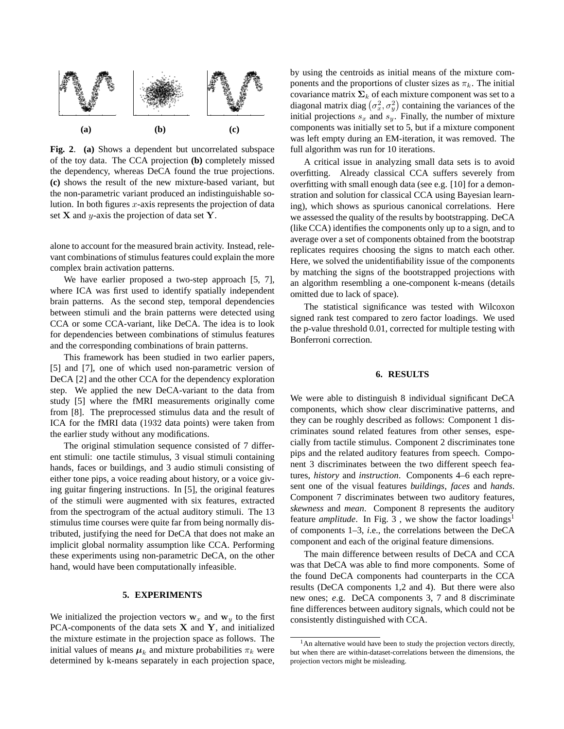

**Fig. 2**. **(a)** Shows a dependent but uncorrelated subspace of the toy data. The CCA projection **(b)** completely missed the dependency, whereas DeCA found the true projections. **(c)** shows the result of the new mixture-based variant, but the non-parametric variant produced an indistinguishable solution. In both figures  $x$ -axis represents the projection of data set  $X$  and y-axis the projection of data set  $Y$ .

alone to account for the measured brain activity. Instead, relevant combinations of stimulus features could explain the more complex brain activation patterns.

We have earlier proposed a two-step approach [5, 7], where ICA was first used to identify spatially independent brain patterns. As the second step, temporal dependencies between stimuli and the brain patterns were detected using CCA or some CCA-variant, like DeCA. The idea is to look for dependencies between combinations of stimulus features and the corresponding combinations of brain patterns.

This framework has been studied in two earlier papers, [5] and [7], one of which used non-parametric version of DeCA [2] and the other CCA for the dependency exploration step. We applied the new DeCA-variant to the data from study [5] where the fMRI measurements originally come from [8]. The preprocessed stimulus data and the result of ICA for the fMRI data (1932 data points) were taken from the earlier study without any modifications.

The original stimulation sequence consisted of 7 different stimuli: one tactile stimulus, 3 visual stimuli containing hands, faces or buildings, and 3 audio stimuli consisting of either tone pips, a voice reading about history, or a voice giving guitar fingering instructions. In [5], the original features of the stimuli were augmented with six features, extracted from the spectrogram of the actual auditory stimuli. The 13 stimulus time courses were quite far from being normally distributed, justifying the need for DeCA that does not make an implicit global normality assumption like CCA. Performing these experiments using non-parametric DeCA, on the other hand, would have been computationally infeasible.

### **5. EXPERIMENTS**

We initialized the projection vectors  $w_x$  and  $w_y$  to the first PCA-components of the data sets  $X$  and  $Y$ , and initialized the mixture estimate in the projection space as follows. The initial values of means  $\mu_k$  and mixture probabilities  $\pi_k$  were determined by k-means separately in each projection space,

by using the centroids as initial means of the mixture components and the proportions of cluster sizes as  $\pi_k$ . The initial covariance matrix  $\Sigma_k$  of each mixture component was set to a diagonal matrix diag  $(\sigma_x^2, \sigma_y^2)$  containing the variances of the initial projections  $s_x$  and  $s_y$ . Finally, the number of mixture components was initially set to 5, but if a mixture component was left empty during an EM-iteration, it was removed. The full algorithm was run for 10 iterations.

A critical issue in analyzing small data sets is to avoid overfitting. Already classical CCA suffers severely from overfitting with small enough data (see e.g. [10] for a demonstration and solution for classical CCA using Bayesian learning), which shows as spurious canonical correlations. Here we assessed the quality of the results by bootstrapping. DeCA (like CCA) identifies the components only up to a sign, and to average over a set of components obtained from the bootstrap replicates requires choosing the signs to match each other. Here, we solved the unidentifiability issue of the components by matching the signs of the bootstrapped projections with an algorithm resembling a one-component k-means (details omitted due to lack of space).

The statistical significance was tested with Wilcoxon signed rank test compared to zero factor loadings. We used the p-value threshold 0.01, corrected for multiple testing with Bonferroni correction.

### **6. RESULTS**

We were able to distinguish 8 individual significant DeCA components, which show clear discriminative patterns, and they can be roughly described as follows: Component 1 discriminates sound related features from other senses, especially from tactile stimulus. Component 2 discriminates tone pips and the related auditory features from speech. Component 3 discriminates between the two different speech features, *history* and *instruction*. Components 4–6 each represent one of the visual features *buildings*, *faces* and *hands*. Component 7 discriminates between two auditory features, *skewness* and *mean*. Component 8 represents the auditory feature *amplitude*. In Fig. 3, we show the factor loadings<sup>1</sup> of components 1–3, *i*.e., the correlations between the DeCA component and each of the original feature dimensions.

The main difference between results of DeCA and CCA was that DeCA was able to find more components. Some of the found DeCA components had counterparts in the CCA results (DeCA components 1,2 and 4). But there were also new ones; *e*.g. DeCA components 3, 7 and 8 discriminate fine differences between auditory signals, which could not be consistently distinguished with CCA.

 $<sup>1</sup>$ An alternative would have been to study the projection vectors directly,</sup> but when there are within-dataset-correlations between the dimensions, the projection vectors might be misleading.